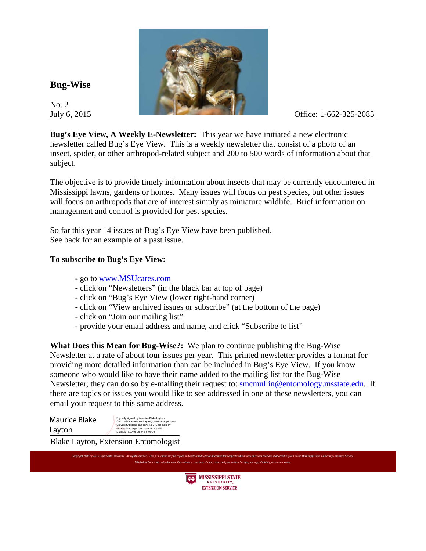

## **Bug-Wise**

No. 2

**Bug's Eye View, A Weekly E-Newsletter:** This year we have initiated a new electronic newsletter called Bug's Eye View. This is a weekly newsletter that consist of a photo of an insect, spider, or other arthropod-related subject and 200 to 500 words of information about that subject.

The objective is to provide timely information about insects that may be currently encountered in Mississippi lawns, gardens or homes. Many issues will focus on pest species, but other issues will focus on arthropods that are of interest simply as miniature wildlife. Brief information on management and control is provided for pest species.

So far this year 14 issues of Bug's Eye View have been published. See back for an example of a past issue.

## **To subscribe to Bug's Eye View:**

- go to www.MSUcares.com
- click on "Newsletters" (in the black bar at top of page)
- click on "Bug's Eye View (lower right-hand corner)
- click on "View archived issues or subscribe" (at the bottom of the page)
- click on "Join our mailing list"
- provide your email address and name, and click "Subscribe to list"

**What Does this Mean for Bug-Wise?:** We plan to continue publishing the Bug-Wise Newsletter at a rate of about four issues per year. This printed newsletter provides a format for providing more detailed information than can be included in Bug's Eye View. If you know someone who would like to have their name added to the mailing list for the Bug-Wise Newsletter, they can do so by e-mailing their request to: smcmullin@entomology.msstate.edu. If there are topics or issues you would like to see addressed in one of these newsletters, you can email your request to this same address.

| Maurice Blake                        | Digitally signed by Maurice Blake Layton<br>DN: cn=Maurice Blake Layton, o=Mississippi State<br>University Extension Service, ou=Entomology, |
|--------------------------------------|----------------------------------------------------------------------------------------------------------------------------------------------|
| Layton                               | email=blayton@ext.msstate.edu, c=US<br>Date: 2015.07.08 08:34:54 -05'00'                                                                     |
| Blake Layton, Extension Entomologist |                                                                                                                                              |



Copyright 2009 by Mississippi State University. All rights reserved. This publication may be copied and distributed without alteration for nonprofit educational purposes provided that credit is given to the Mississippi Sta *Mississippi State University does not discriminate on the base of race, color, religion, national origin, sex, age, disability, or veteran status.*